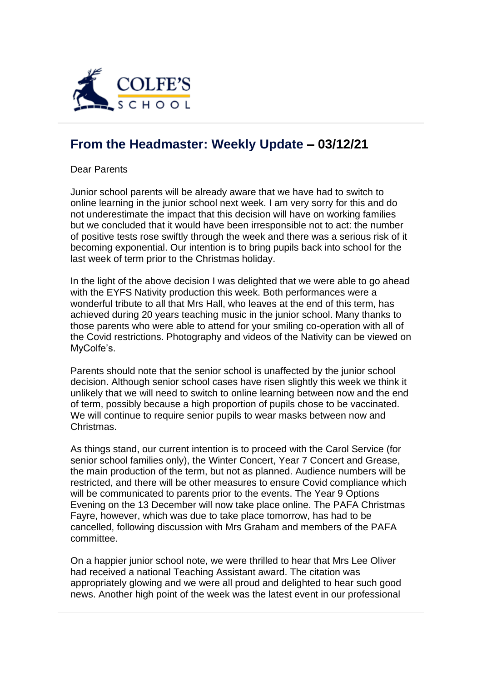

## **[From the Headmaster: Weekly Update](https://urlsand.esvalabs.com/?u=https%3A%2F%2Fschoolpostcdn.blob.core.windows.net%2Fpublic%2F~%2Femail-test-message.html&e=f4e25f66&h=847ca343&f=y&p=y) – 03/12/21**

Dear Parents

Junior school parents will be already aware that we have had to switch to online learning in the junior school next week. I am very sorry for this and do not underestimate the impact that this decision will have on working families but we concluded that it would have been irresponsible not to act: the number of positive tests rose swiftly through the week and there was a serious risk of it becoming exponential. Our intention is to bring pupils back into school for the last week of term prior to the Christmas holiday.

In the light of the above decision I was delighted that we were able to go ahead with the EYFS Nativity production this week. Both performances were a wonderful tribute to all that Mrs Hall, who leaves at the end of this term, has achieved during 20 years teaching music in the junior school. Many thanks to those parents who were able to attend for your smiling co-operation with all of the Covid restrictions. Photography and videos of the Nativity can be viewed on MyColfe's.

Parents should note that the senior school is unaffected by the junior school decision. Although senior school cases have risen slightly this week we think it unlikely that we will need to switch to online learning between now and the end of term, possibly because a high proportion of pupils chose to be vaccinated. We will continue to require senior pupils to wear masks between now and Christmas.

As things stand, our current intention is to proceed with the Carol Service (for senior school families only), the Winter Concert, Year 7 Concert and Grease, the main production of the term, but not as planned. Audience numbers will be restricted, and there will be other measures to ensure Covid compliance which will be communicated to parents prior to the events. The Year 9 Options Evening on the 13 December will now take place online. The PAFA Christmas Fayre, however, which was due to take place tomorrow, has had to be cancelled, following discussion with Mrs Graham and members of the PAFA committee.

On a happier junior school note, we were thrilled to hear that Mrs Lee Oliver had received a national Teaching Assistant award. The citation was appropriately glowing and we were all proud and delighted to hear such good news. Another high point of the week was the latest event in our professional